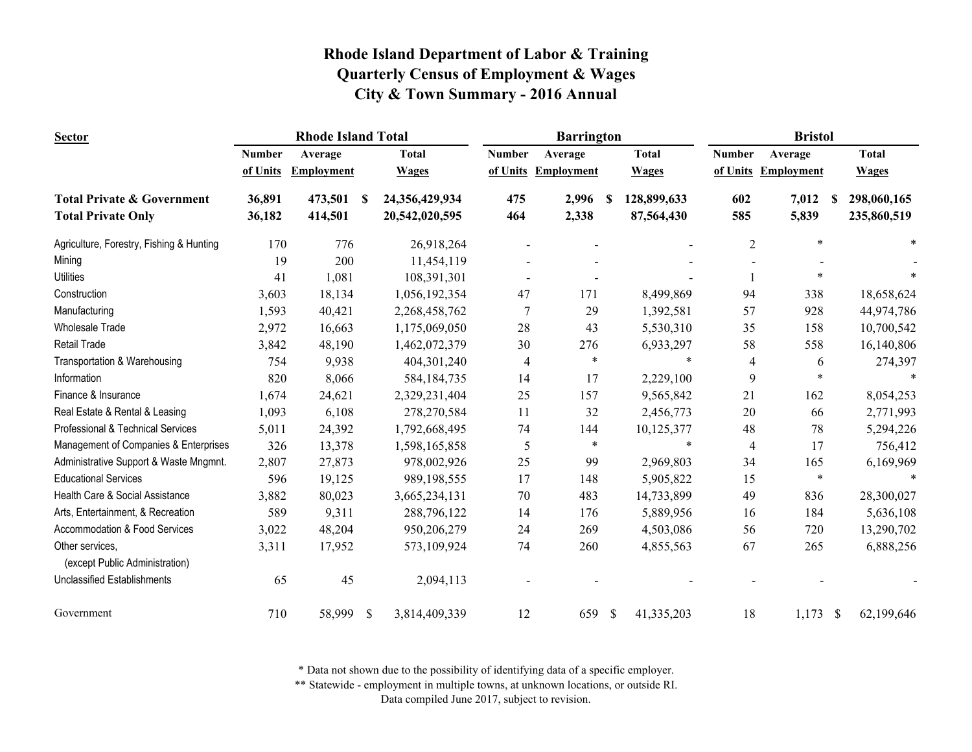| <b>Sector</b>                                     |               | <b>Rhode Island Total</b> |                           |                |                | <b>Barrington</b> |              |              |                | <b>Bristol</b>         |              |
|---------------------------------------------------|---------------|---------------------------|---------------------------|----------------|----------------|-------------------|--------------|--------------|----------------|------------------------|--------------|
|                                                   | <b>Number</b> | Average                   |                           | <b>Total</b>   | <b>Number</b>  | Average           |              | <b>Total</b> | <b>Number</b>  | Average                | <b>Total</b> |
|                                                   | of Units      | <b>Employment</b>         |                           | <b>Wages</b>   | of Units       | Employment        |              | <b>Wages</b> | of Units       | <b>Employment</b>      | <b>Wages</b> |
| <b>Total Private &amp; Government</b>             | 36,891        | 473,501                   | -S                        | 24,356,429,934 | 475            | 2,996             |              | 128,899,633  | 602            | 7,012<br>S.            | 298,060,165  |
| <b>Total Private Only</b>                         | 36,182        | 414,501                   |                           | 20,542,020,595 | 464            | 2,338             |              | 87,564,430   | 585            | 5,839                  | 235,860,519  |
| Agriculture, Forestry, Fishing & Hunting          | 170           | 776                       |                           | 26,918,264     |                |                   |              |              | $\overline{c}$ | $\ast$                 |              |
| Mining                                            | 19            | 200                       |                           | 11,454,119     |                |                   |              |              |                |                        |              |
| <b>Utilities</b>                                  | 41            | 1,081                     |                           | 108,391,301    |                |                   |              |              |                | $\ast$                 |              |
| Construction                                      | 3,603         | 18,134                    |                           | 1,056,192,354  | 47             | 171               |              | 8,499,869    | 94             | 338                    | 18,658,624   |
| Manufacturing                                     | 1,593         | 40,421                    |                           | 2,268,458,762  | $\overline{7}$ | 29                |              | 1,392,581    | 57             | 928                    | 44,974,786   |
| <b>Wholesale Trade</b>                            | 2,972         | 16,663                    |                           | 1,175,069,050  | 28             | 43                |              | 5,530,310    | 35             | 158                    | 10,700,542   |
| <b>Retail Trade</b>                               | 3,842         | 48,190                    |                           | 1,462,072,379  | 30             | 276               |              | 6,933,297    | 58             | 558                    | 16,140,806   |
| Transportation & Warehousing                      | 754           | 9,938                     |                           | 404,301,240    | $\overline{4}$ | ∗                 |              | $\ast$       | 4              | 6                      | 274,397      |
| Information                                       | 820           | 8,066                     |                           | 584,184,735    | 14             | 17                |              | 2,229,100    | 9              |                        |              |
| Finance & Insurance                               | 1,674         | 24,621                    |                           | 2,329,231,404  | 25             | 157               |              | 9,565,842    | 21             | 162                    | 8,054,253    |
| Real Estate & Rental & Leasing                    | 1,093         | 6,108                     |                           | 278,270,584    | 11             | 32                |              | 2,456,773    | 20             | 66                     | 2,771,993    |
| Professional & Technical Services                 | 5,011         | 24,392                    |                           | 1,792,668,495  | 74             | 144               |              | 10,125,377   | 48             | 78                     | 5,294,226    |
| Management of Companies & Enterprises             | 326           | 13,378                    |                           | 1,598,165,858  | 5              | $\ast$            |              | $\ast$       | $\overline{4}$ | 17                     | 756,412      |
| Administrative Support & Waste Mngmnt.            | 2,807         | 27,873                    |                           | 978,002,926    | 25             | 99                |              | 2,969,803    | 34             | 165                    | 6,169,969    |
| <b>Educational Services</b>                       | 596           | 19,125                    |                           | 989,198,555    | 17             | 148               |              | 5,905,822    | 15             | $\ast$                 |              |
| Health Care & Social Assistance                   | 3,882         | 80,023                    |                           | 3,665,234,131  | 70             | 483               |              | 14,733,899   | 49             | 836                    | 28,300,027   |
| Arts, Entertainment, & Recreation                 | 589           | 9,311                     |                           | 288,796,122    | 14             | 176               |              | 5,889,956    | 16             | 184                    | 5,636,108    |
| Accommodation & Food Services                     | 3,022         | 48,204                    |                           | 950,206,279    | 24             | 269               |              | 4,503,086    | 56             | 720                    | 13,290,702   |
| Other services.<br>(except Public Administration) | 3,311         | 17,952                    |                           | 573,109,924    | 74             | 260               |              | 4,855,563    | 67             | 265                    | 6,888,256    |
| <b>Unclassified Establishments</b>                | 65            | 45                        |                           | 2,094,113      |                |                   |              |              |                |                        |              |
| Government                                        | 710           | 58,999                    | $\boldsymbol{\mathsf{S}}$ | 3,814,409,339  | 12             | 659               | $\mathbb{S}$ | 41,335,203   | 18             | 1,173<br>$\mathcal{S}$ | 62,199,646   |

\* Data not shown due to the possibility of identifying data of a specific employer.

\*\* Statewide - employment in multiple towns, at unknown locations, or outside RI.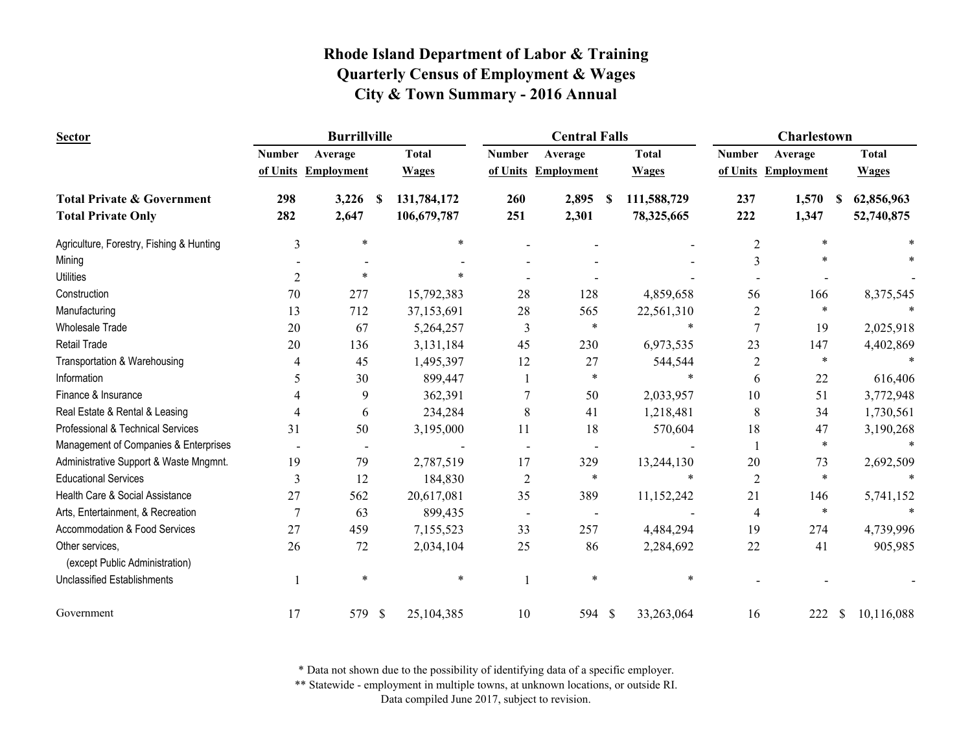| <b>Sector</b>                                     |                | <b>Burrillville</b> |               |             |                | <b>Central Falls</b>     |    |              |                | Charlestown         |    |              |
|---------------------------------------------------|----------------|---------------------|---------------|-------------|----------------|--------------------------|----|--------------|----------------|---------------------|----|--------------|
|                                                   | <b>Number</b>  | Average             | <b>Total</b>  |             | <b>Number</b>  | Average                  |    | <b>Total</b> | <b>Number</b>  | Average             |    | <b>Total</b> |
|                                                   | of Units       | <b>Employment</b>   | <b>Wages</b>  |             |                | of Units Employment      |    | <b>Wages</b> |                | of Units Employment |    | <b>Wages</b> |
| <b>Total Private &amp; Government</b>             | 298            | 3,226               | -S            | 131,784,172 | 260            | 2,895                    | -8 | 111,588,729  | 237            | 1,570               | -S | 62,856,963   |
| <b>Total Private Only</b>                         | 282            | 2,647               |               | 106,679,787 | 251            | 2,301                    |    | 78,325,665   | 222            | 1,347               |    | 52,740,875   |
| Agriculture, Forestry, Fishing & Hunting          | 3              | $\ast$              |               | *           |                |                          |    |              | 2              | $\ast$              |    |              |
| Mining                                            |                |                     |               |             |                |                          |    |              | 3              |                     |    |              |
| <b>Utilities</b>                                  | $\overline{c}$ | $\ast$              |               |             |                |                          |    |              |                |                     |    |              |
| Construction                                      | 70             | 277                 |               | 15,792,383  | 28             | 128                      |    | 4,859,658    | 56             | 166                 |    | 8,375,545    |
| Manufacturing                                     | 13             | 712                 |               | 37,153,691  | 28             | 565                      |    | 22,561,310   |                | $\ast$              |    |              |
| <b>Wholesale Trade</b>                            | 20             | 67                  |               | 5,264,257   | 3              | *                        |    | *            | 7              | 19                  |    | 2,025,918    |
| Retail Trade                                      | 20             | 136                 |               | 3,131,184   | 45             | 230                      |    | 6,973,535    | 23             | 147                 |    | 4,402,869    |
| Transportation & Warehousing                      | 4              | 45                  |               | 1,495,397   | 12             | 27                       |    | 544,544      | 2              | $\ast$              |    |              |
| Information                                       | 5              | 30                  |               | 899,447     |                | $\ast$                   |    | $\ast$       | 6              | 22                  |    | 616,406      |
| Finance & Insurance                               | 4              | 9                   |               | 362,391     |                | 50                       |    | 2,033,957    | 10             | 51                  |    | 3,772,948    |
| Real Estate & Rental & Leasing                    | 4              | 6                   |               | 234,284     | 8              | 41                       |    | 1,218,481    | 8              | 34                  |    | 1,730,561    |
| Professional & Technical Services                 | 31             | 50                  |               | 3,195,000   | 11             | 18                       |    | 570,604      | 18             | 47                  |    | 3,190,268    |
| Management of Companies & Enterprises             |                |                     |               |             |                |                          |    |              |                | $\ast$              |    |              |
| Administrative Support & Waste Mngmnt.            | 19             | 79                  |               | 2,787,519   | 17             | 329                      |    | 13,244,130   | 20             | 73                  |    | 2,692,509    |
| <b>Educational Services</b>                       | 3              | 12                  |               | 184,830     | $\overline{2}$ | $\ast$                   |    |              | $\overline{c}$ | $\ast$              |    |              |
| Health Care & Social Assistance                   | 27             | 562                 |               | 20,617,081  | 35             | 389                      |    | 11,152,242   | 21             | 146                 |    | 5,741,152    |
| Arts, Entertainment, & Recreation                 | 7              | 63                  |               | 899,435     |                | $\overline{\phantom{a}}$ |    |              | 4              | $\ast$              |    |              |
| Accommodation & Food Services                     | 27             | 459                 |               | 7,155,523   | 33             | 257                      |    | 4,484,294    | 19             | 274                 |    | 4,739,996    |
| Other services,<br>(except Public Administration) | 26             | 72                  |               | 2,034,104   | 25             | 86                       |    | 2,284,692    | 22             | 41                  |    | 905,985      |
| <b>Unclassified Establishments</b>                |                | $\ast$              |               | $\ast$      |                | $\ast$                   |    | $\ast$       |                |                     |    |              |
| Government                                        | 17             | 579                 | $\mathcal{S}$ | 25,104,385  | 10             | 594 \$                   |    | 33,263,064   | 16             | 222                 | \$ | 10,116,088   |

\* Data not shown due to the possibility of identifying data of a specific employer.

\*\* Statewide - employment in multiple towns, at unknown locations, or outside RI.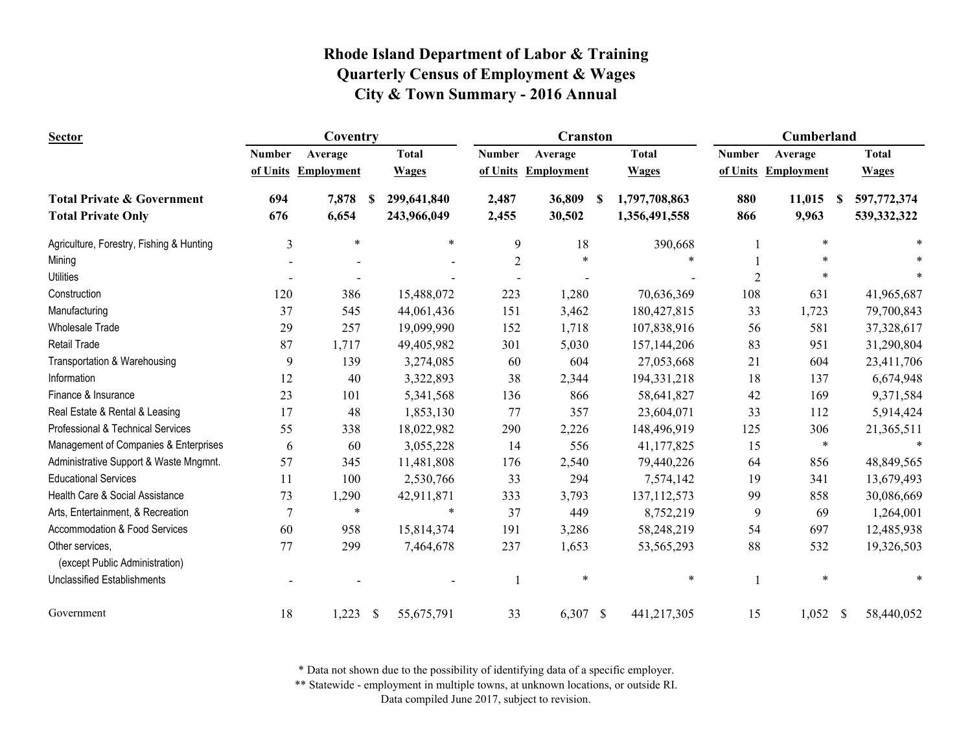| <b>Sector</b>                            |                | Coventry          |               |              |                | <b>Cranston</b>     |   |               |                | <b>Cumberland</b>   |          |               |
|------------------------------------------|----------------|-------------------|---------------|--------------|----------------|---------------------|---|---------------|----------------|---------------------|----------|---------------|
|                                          | <b>Number</b>  | Average           |               | <b>Total</b> | <b>Number</b>  | Average             |   | <b>Total</b>  | <b>Number</b>  | Average             |          | <b>Total</b>  |
|                                          | of Units       | <b>Employment</b> |               | <b>Wages</b> |                | of Units Employment |   | <b>Wages</b>  |                | of Units Employment |          | <b>Wages</b>  |
| <b>Total Private &amp; Government</b>    | 694            | 7,878             | -S            | 299,641,840  | 2,487          | 36,809              | S | 1,797,708,863 | 880            | 11,015              | <b>S</b> | 597,772,374   |
| <b>Total Private Only</b>                | 676            | 6,654             |               | 243,966,049  | 2,455          | 30,502              |   | 1,356,491,558 | 866            | 9,963               |          | 539, 332, 322 |
| Agriculture, Forestry, Fishing & Hunting | 3              | $\ast$            |               | $\ast$       | 9              | 18                  |   | 390,668       |                | $\ast$              |          |               |
| Mining                                   |                |                   |               |              | $\overline{2}$ | $\ast$              |   |               |                |                     |          |               |
| <b>Utilities</b>                         |                |                   |               |              |                |                     |   |               | $\mathfrak{D}$ |                     |          |               |
| Construction                             | 120            | 386               |               | 15,488,072   | 223            | 1,280               |   | 70,636,369    | 108            | 631                 |          | 41,965,687    |
| Manufacturing                            | 37             | 545               |               | 44,061,436   | 151            | 3,462               |   | 180,427,815   | 33             | 1,723               |          | 79,700,843    |
| <b>Wholesale Trade</b>                   | 29             | 257               |               | 19,099,990   | 152            | 1,718               |   | 107,838,916   | 56             | 581                 |          | 37,328,617    |
| <b>Retail Trade</b>                      | 87             | 1,717             |               | 49,405,982   | 301            | 5,030               |   | 157, 144, 206 | 83             | 951                 |          | 31,290,804    |
| Transportation & Warehousing             | 9              | 139               |               | 3,274,085    | 60             | 604                 |   | 27,053,668    | 21             | 604                 |          | 23,411,706    |
| Information                              | 12             | 40                |               | 3,322,893    | 38             | 2,344               |   | 194,331,218   | 18             | 137                 |          | 6,674,948     |
| Finance & Insurance                      | 23             | 101               |               | 5,341,568    | 136            | 866                 |   | 58,641,827    | 42             | 169                 |          | 9,371,584     |
| Real Estate & Rental & Leasing           | 17             | 48                |               | 1,853,130    | 77             | 357                 |   | 23,604,071    | 33             | 112                 |          | 5,914,424     |
| Professional & Technical Services        | 55             | 338               |               | 18,022,982   | 290            | 2,226               |   | 148,496,919   | 125            | 306                 |          | 21,365,511    |
| Management of Companies & Enterprises    | 6              | 60                |               | 3,055,228    | 14             | 556                 |   | 41,177,825    | 15             | $\ast$              |          |               |
| Administrative Support & Waste Mngmnt.   | 57             | 345               |               | 11,481,808   | 176            | 2,540               |   | 79,440,226    | 64             | 856                 |          | 48,849,565    |
| <b>Educational Services</b>              | 11             | 100               |               | 2,530,766    | 33             | 294                 |   | 7,574,142     | 19             | 341                 |          | 13,679,493    |
| Health Care & Social Assistance          | 73             | 1,290             |               | 42,911,871   | 333            | 3,793               |   | 137, 112, 573 | 99             | 858                 |          | 30,086,669    |
| Arts, Entertainment, & Recreation        | $\overline{7}$ | $\ast$            |               | $\ast$       | 37             | 449                 |   | 8,752,219     | 9              | 69                  |          | 1,264,001     |
| Accommodation & Food Services            | 60             | 958               |               | 15,814,374   | 191            | 3,286               |   | 58,248,219    | 54             | 697                 |          | 12,485,938    |
| Other services,                          | 77             | 299               |               | 7,464,678    | 237            | 1,653               |   | 53,565,293    | 88             | 532                 |          | 19,326,503    |
| (except Public Administration)           |                |                   |               |              |                |                     |   |               |                |                     |          |               |
| <b>Unclassified Establishments</b>       |                |                   |               |              |                | $\ast$              |   | $\ast$        | $\mathbf{1}$   | $\ast$              |          |               |
| Government                               | 18             | 1,223             | $\mathcal{S}$ | 55,675,791   | 33             | 6,307 \$            |   | 441,217,305   | 15             | $1,052$ \$          |          | 58,440,052    |

\* Data not shown due to the possibility of identifying data of a specific employer.

\*\* Statewide - employment in multiple towns, at unknown locations, or outside RI.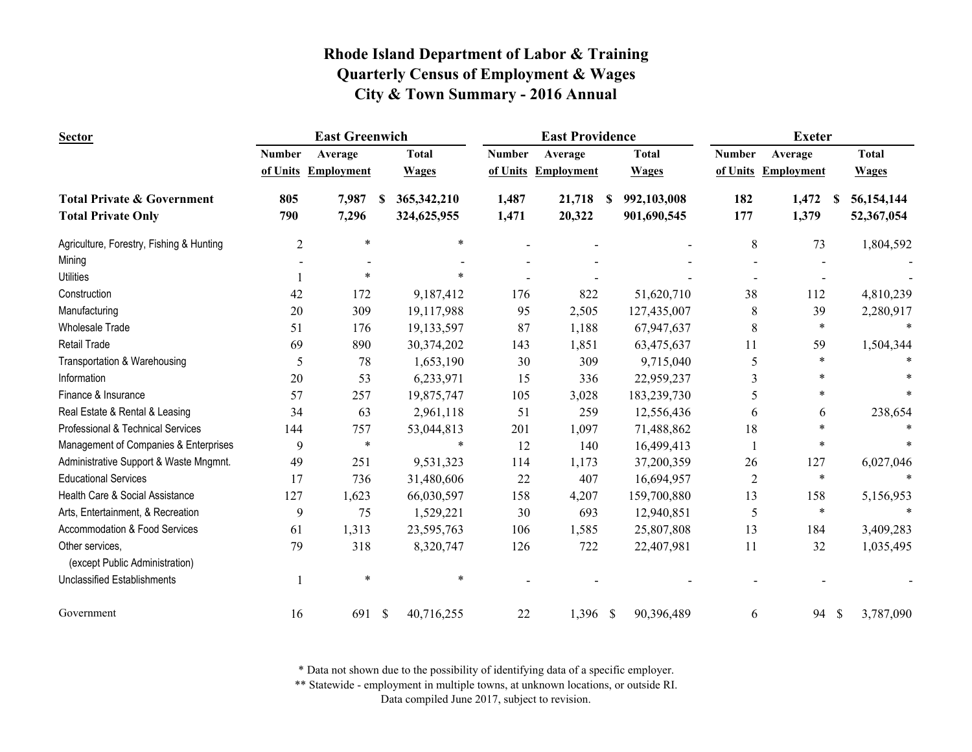| <b>Sector</b>                                     |                | <b>East Greenwich</b> |               |               |               | <b>East Providence</b> |   |              |                | <b>Exeter</b>       |              |              |
|---------------------------------------------------|----------------|-----------------------|---------------|---------------|---------------|------------------------|---|--------------|----------------|---------------------|--------------|--------------|
|                                                   | <b>Number</b>  | Average               |               | <b>Total</b>  | <b>Number</b> | Average                |   | <b>Total</b> | <b>Number</b>  | Average             |              | <b>Total</b> |
|                                                   |                | of Units Employment   |               | <b>Wages</b>  | of Units      | Employment             |   | <b>Wages</b> |                | of Units Employment |              | <b>Wages</b> |
| <b>Total Private &amp; Government</b>             | 805            | 7,987                 | \$.           | 365, 342, 210 | 1,487         | 21,718                 | S | 992,103,008  | 182            | 1,472<br>-S         |              | 56,154,144   |
| <b>Total Private Only</b>                         | 790            | 7,296                 |               | 324,625,955   | 1,471         | 20,322                 |   | 901,690,545  | 177            | 1,379               |              | 52,367,054   |
| Agriculture, Forestry, Fishing & Hunting          | $\overline{2}$ | ∗                     |               | $\ast$        |               |                        |   |              | 8              | 73                  |              | 1,804,592    |
| Mining                                            |                |                       |               |               |               |                        |   |              |                |                     |              |              |
| <b>Utilities</b>                                  |                | $\ast$                |               |               |               |                        |   |              |                |                     |              |              |
| Construction                                      | 42             | 172                   |               | 9,187,412     | 176           | 822                    |   | 51,620,710   | 38             | 112                 |              | 4,810,239    |
| Manufacturing                                     | 20             | 309                   |               | 19,117,988    | 95            | 2,505                  |   | 127,435,007  | 8              | 39                  |              | 2,280,917    |
| <b>Wholesale Trade</b>                            | 51             | 176                   |               | 19,133,597    | 87            | 1,188                  |   | 67,947,637   | 8              | $\ast$              |              |              |
| Retail Trade                                      | 69             | 890                   |               | 30,374,202    | 143           | 1,851                  |   | 63,475,637   | 11             | 59                  |              | 1,504,344    |
| Transportation & Warehousing                      | 5              | 78                    |               | 1,653,190     | 30            | 309                    |   | 9,715,040    | 5              | ∗                   |              |              |
| Information                                       | 20             | 53                    |               | 6,233,971     | 15            | 336                    |   | 22,959,237   | 3              | $\ast$              |              |              |
| Finance & Insurance                               | 57             | 257                   |               | 19,875,747    | 105           | 3,028                  |   | 183,239,730  | 5              | *                   |              |              |
| Real Estate & Rental & Leasing                    | 34             | 63                    |               | 2,961,118     | 51            | 259                    |   | 12,556,436   | 6              | 6                   |              | 238,654      |
| Professional & Technical Services                 | 144            | 757                   |               | 53,044,813    | 201           | 1,097                  |   | 71,488,862   | 18             | *                   |              |              |
| Management of Companies & Enterprises             | 9              | $\ast$                |               | $\ast$        | 12            | 140                    |   | 16,499,413   | -1             | $\ast$              |              |              |
| Administrative Support & Waste Mngmnt.            | 49             | 251                   |               | 9,531,323     | 114           | 1,173                  |   | 37,200,359   | 26             | 127                 |              | 6,027,046    |
| <b>Educational Services</b>                       | 17             | 736                   |               | 31,480,606    | 22            | 407                    |   | 16,694,957   | $\overline{c}$ | $\ast$              |              |              |
| Health Care & Social Assistance                   | 127            | 1,623                 |               | 66,030,597    | 158           | 4,207                  |   | 159,700,880  | 13             | 158                 |              | 5,156,953    |
| Arts, Entertainment, & Recreation                 | 9              | 75                    |               | 1,529,221     | 30            | 693                    |   | 12,940,851   | 5              | $\ast$              |              | $\ast$       |
| Accommodation & Food Services                     | 61             | 1,313                 |               | 23,595,763    | 106           | 1,585                  |   | 25,807,808   | 13             | 184                 |              | 3,409,283    |
| Other services,<br>(except Public Administration) | 79             | 318                   |               | 8,320,747     | 126           | 722                    |   | 22,407,981   | 11             | 32                  |              | 1,035,495    |
| <b>Unclassified Establishments</b>                |                | $\ast$                |               | $\ast$        |               |                        |   |              |                |                     |              |              |
| Government                                        | 16             | 691                   | $\mathcal{S}$ | 40,716,255    | 22            | 1,396 \$               |   | 90,396,489   | 6              | 94                  | $\mathbb{S}$ | 3,787,090    |

\* Data not shown due to the possibility of identifying data of a specific employer.

\*\* Statewide - employment in multiple towns, at unknown locations, or outside RI.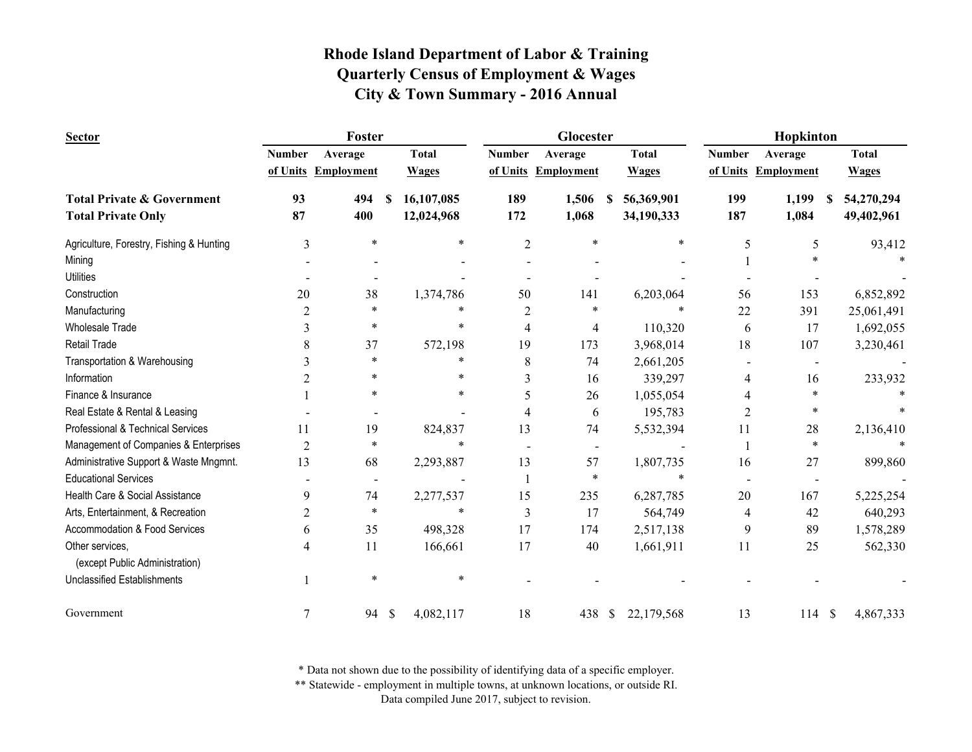| <b>Sector</b>                                     |                | Foster            |               |              |                | Glocester         |              |              |                | Hopkinton                |    |              |
|---------------------------------------------------|----------------|-------------------|---------------|--------------|----------------|-------------------|--------------|--------------|----------------|--------------------------|----|--------------|
|                                                   | <b>Number</b>  | Average           |               | <b>Total</b> | <b>Number</b>  | Average           |              | <b>Total</b> | <b>Number</b>  | Average                  |    | <b>Total</b> |
|                                                   | of Units       | <b>Employment</b> |               | <b>Wages</b> | of Units       | <b>Employment</b> |              | <b>Wages</b> |                | of Units Employment      |    | <b>Wages</b> |
| <b>Total Private &amp; Government</b>             | 93             | 494               | S             | 16,107,085   | 189            | 1,506             | \$.          | 56,369,901   | 199            | 1,199                    | -S | 54,270,294   |
| <b>Total Private Only</b>                         | 87             | 400               |               | 12,024,968   | 172            | 1,068             |              | 34,190,333   | 187            | 1,084                    |    | 49,402,961   |
| Agriculture, Forestry, Fishing & Hunting          | 3              | $\ast$            |               | $\ast$       | $\overline{2}$ | $\ast$            |              | $\ast$       | 5              | 5                        |    | 93,412       |
| Mining                                            |                |                   |               |              |                |                   |              |              |                |                          |    |              |
| <b>Utilities</b>                                  |                |                   |               |              |                |                   |              |              |                |                          |    |              |
| Construction                                      | 20             | 38                |               | 1,374,786    | 50             | 141               |              | 6,203,064    | 56             | 153                      |    | 6,852,892    |
| Manufacturing                                     | 2              | $\ast$            |               | $\ast$       | 2              | *                 |              | $\ast$       | 22             | 391                      |    | 25,061,491   |
| <b>Wholesale Trade</b>                            | 3              | $\ast$            |               | $\ast$       | 4              | 4                 |              | 110,320      | 6              | 17                       |    | 1,692,055    |
| <b>Retail Trade</b>                               | 8              | 37                |               | 572,198      | 19             | 173               |              | 3,968,014    | 18             | 107                      |    | 3,230,461    |
| Transportation & Warehousing                      | 3              | $\ast$            |               | $\ast$       | 8              | 74                |              | 2,661,205    |                | $\overline{\phantom{a}}$ |    |              |
| Information                                       | 2              | *                 |               | $\ast$       | 3              | 16                |              | 339,297      | 4              | 16                       |    | 233,932      |
| Finance & Insurance                               |                | *                 |               | $\ast$       | 5              | 26                |              | 1,055,054    | 4              | *                        |    |              |
| Real Estate & Rental & Leasing                    |                |                   |               |              | 4              | 6                 |              | 195,783      | $\overline{2}$ | *                        |    |              |
| Professional & Technical Services                 | 11             | 19                |               | 824,837      | 13             | 74                |              | 5,532,394    | 11             | 28                       |    | 2,136,410    |
| Management of Companies & Enterprises             | $\overline{2}$ | $\ast$            |               | $\ast$       |                |                   |              |              |                | $\ast$                   |    |              |
| Administrative Support & Waste Mngmnt.            | 13             | 68                |               | 2,293,887    | 13             | 57                |              | 1,807,735    | 16             | 27                       |    | 899,860      |
| <b>Educational Services</b>                       |                |                   |               |              |                | *                 |              | $\ast$       |                |                          |    |              |
| Health Care & Social Assistance                   | 9              | 74                |               | 2,277,537    | 15             | 235               |              | 6,287,785    | 20             | 167                      |    | 5,225,254    |
| Arts, Entertainment, & Recreation                 | $\overline{2}$ | $\ast$            |               | $\ast$       | 3              | 17                |              | 564,749      | 4              | 42                       |    | 640,293      |
| Accommodation & Food Services                     | 6              | 35                |               | 498,328      | 17             | 174               |              | 2,517,138    | 9              | 89                       |    | 1,578,289    |
| Other services,<br>(except Public Administration) | 4              | 11                |               | 166,661      | 17             | 40                |              | 1,661,911    | 11             | 25                       |    | 562,330      |
| <b>Unclassified Establishments</b>                |                | $\ast$            |               | $\ast$       |                |                   |              |              |                |                          |    |              |
| Government                                        | $\tau$         | 94                | $\mathcal{S}$ | 4,082,117    | 18             | 438               | $\mathbb{S}$ | 22,179,568   | 13             | 114S                     |    | 4,867,333    |

\* Data not shown due to the possibility of identifying data of a specific employer.

\*\* Statewide - employment in multiple towns, at unknown locations, or outside RI.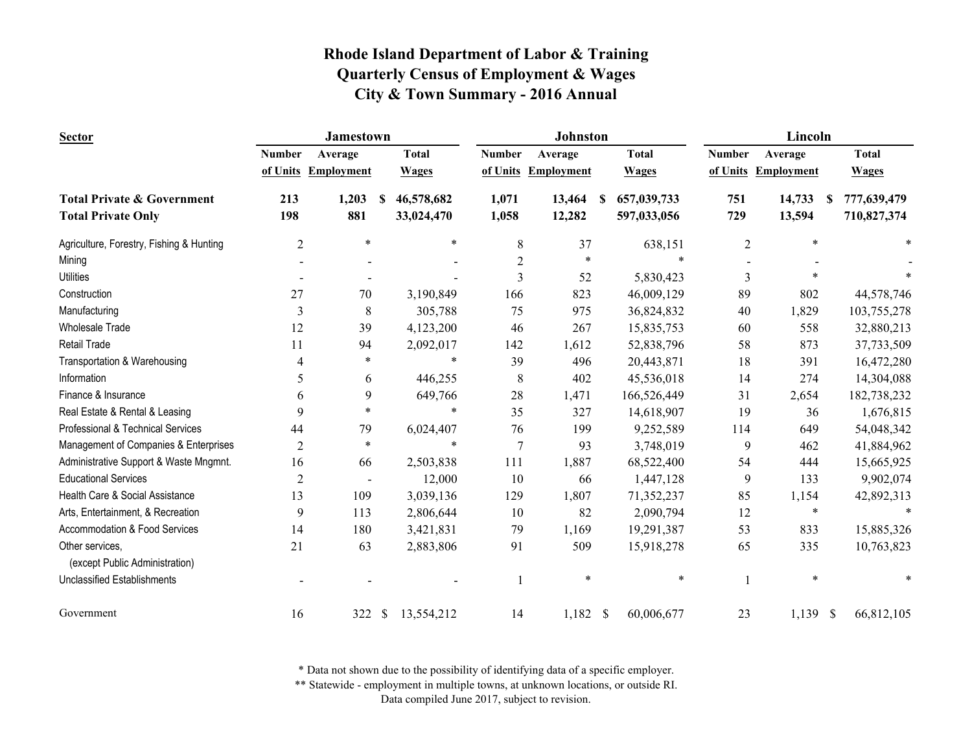| <b>Sector</b>                                     |                | <b>Jamestown</b>    |                            |                | <b>Johnston</b>   |              |             |                | Lincoln             |               |              |
|---------------------------------------------------|----------------|---------------------|----------------------------|----------------|-------------------|--------------|-------------|----------------|---------------------|---------------|--------------|
|                                                   | <b>Number</b>  | Average             | <b>Total</b>               | <b>Number</b>  | Average           | <b>Total</b> |             | <b>Number</b>  | Average             |               | <b>Total</b> |
|                                                   |                | of Units Employment | <b>Wages</b>               | of Units       | <b>Employment</b> | <b>Wages</b> |             |                | of Units Employment |               | <b>Wages</b> |
| <b>Total Private &amp; Government</b>             | 213            | 1,203<br>-S         | 46,578,682                 | 1,071          | 13,464            | S            | 657,039,733 | 751            | 14,733              | S             | 777,639,479  |
| <b>Total Private Only</b>                         | 198            | 881                 | 33,024,470                 | 1,058          | 12,282            |              | 597,033,056 | 729            | 13,594              |               | 710,827,374  |
| Agriculture, Forestry, Fishing & Hunting          | $\overline{2}$ | $\ast$              | $\ast$                     | $8\,$          | 37                |              | 638,151     | $\overline{c}$ | $\ast$              |               |              |
| Mining                                            |                |                     |                            | $\overline{c}$ | $\ast$            |              | $\ast$      |                |                     |               |              |
| <b>Utilities</b>                                  |                |                     |                            | 3              | 52                |              | 5,830,423   | 3              |                     |               |              |
| Construction                                      | 27             | 70                  | 3,190,849                  | 166            | 823               |              | 46,009,129  | 89             | 802                 |               | 44,578,746   |
| Manufacturing                                     | 3              | 8                   | 305,788                    | 75             | 975               |              | 36,824,832  | 40             | 1,829               |               | 103,755,278  |
| <b>Wholesale Trade</b>                            | 12             | 39                  | 4,123,200                  | 46             | 267               |              | 15,835,753  | 60             | 558                 |               | 32,880,213   |
| Retail Trade                                      | 11             | 94                  | 2,092,017                  | 142            | 1,612             |              | 52,838,796  | 58             | 873                 |               | 37,733,509   |
| Transportation & Warehousing                      | $\overline{4}$ | *                   | $\ast$                     | 39             | 496               |              | 20,443,871  | 18             | 391                 |               | 16,472,280   |
| Information                                       | 5              | 6                   | 446,255                    | 8              | 402               |              | 45,536,018  | 14             | 274                 |               | 14,304,088   |
| Finance & Insurance                               | 6              | 9                   | 649,766                    | $28\,$         | 1,471             |              | 166,526,449 | 31             | 2,654               |               | 182,738,232  |
| Real Estate & Rental & Leasing                    | 9              | $\ast$              | $\ast$                     | 35             | 327               |              | 14,618,907  | 19             | 36                  |               | 1,676,815    |
| Professional & Technical Services                 | 44             | 79                  | 6,024,407                  | 76             | 199               |              | 9,252,589   | 114            | 649                 |               | 54,048,342   |
| Management of Companies & Enterprises             | $\overline{2}$ | $\ast$              | $\ast$                     | 7              | 93                |              | 3,748,019   | 9              | 462                 |               | 41,884,962   |
| Administrative Support & Waste Mngmnt.            | 16             | 66                  | 2,503,838                  | 111            | 1,887             |              | 68,522,400  | 54             | 444                 |               | 15,665,925   |
| <b>Educational Services</b>                       | $\overline{2}$ | $\blacksquare$      | 12,000                     | 10             | 66                |              | 1,447,128   | 9              | 133                 |               | 9,902,074    |
| Health Care & Social Assistance                   | 13             | 109                 | 3,039,136                  | 129            | 1,807             |              | 71,352,237  | 85             | 1,154               |               | 42,892,313   |
| Arts, Entertainment, & Recreation                 | 9              | 113                 | 2,806,644                  | 10             | 82                |              | 2,090,794   | 12             | $\ast$              |               | $\ast$       |
| Accommodation & Food Services                     | 14             | 180                 | 3,421,831                  | 79             | 1,169             |              | 19,291,387  | 53             | 833                 |               | 15,885,326   |
| Other services,<br>(except Public Administration) | 21             | 63                  | 2,883,806                  | 91             | 509               |              | 15,918,278  | 65             | 335                 |               | 10,763,823   |
| <b>Unclassified Establishments</b>                |                |                     |                            |                | $\ast$            |              | $\ast$      |                | $\ast$              |               |              |
| Government                                        | 16             | 322                 | $\mathbb{S}$<br>13,554,212 | 14             | $1,182$ \$        |              | 60,006,677  | 23             | 1,139               | $\mathcal{S}$ | 66,812,105   |

\* Data not shown due to the possibility of identifying data of a specific employer.

\*\* Statewide - employment in multiple towns, at unknown locations, or outside RI.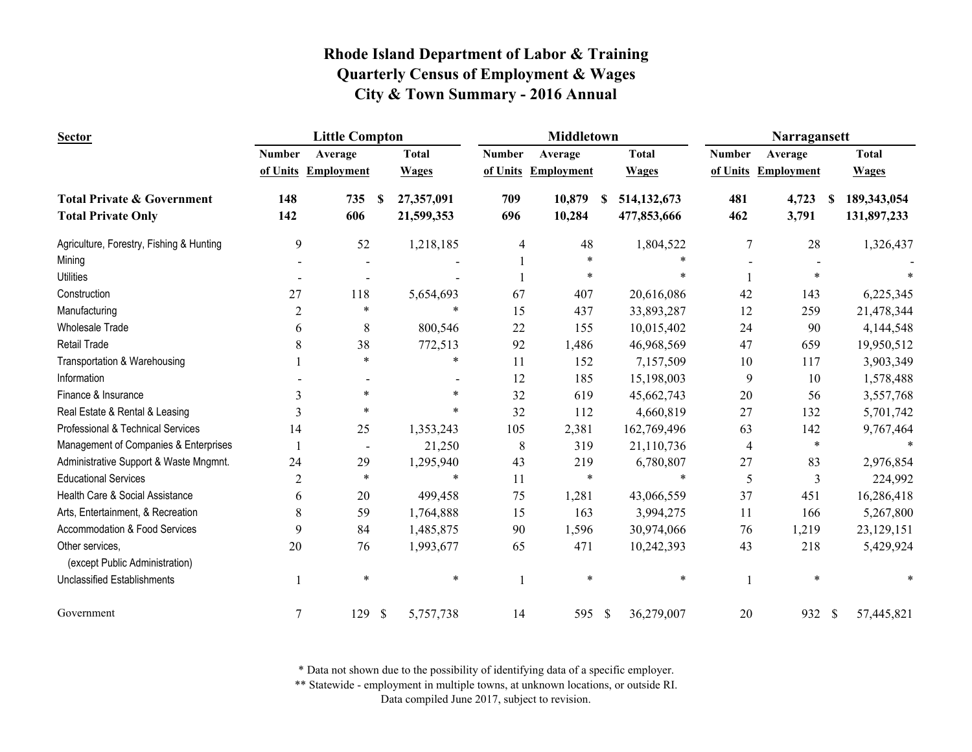| <b>Sector</b>                                     |                | <b>Little Compton</b>    |              |              |               | <b>Middletown</b>   |   |               |                | Narragansett      |              |             |
|---------------------------------------------------|----------------|--------------------------|--------------|--------------|---------------|---------------------|---|---------------|----------------|-------------------|--------------|-------------|
|                                                   | <b>Number</b>  | Average                  |              | <b>Total</b> | <b>Number</b> | Average             |   | <b>Total</b>  | <b>Number</b>  | Average           | <b>Total</b> |             |
|                                                   |                | of Units Employment      |              | <b>Wages</b> |               | of Units Employment |   | <b>Wages</b>  | of Units       | <b>Employment</b> | <b>Wages</b> |             |
| <b>Total Private &amp; Government</b>             | 148            | 735                      | S            | 27,357,091   | 709           | 10,879              | S | 514, 132, 673 | 481            | 4,723<br><b>S</b> |              | 189,343,054 |
| <b>Total Private Only</b>                         | 142            | 606                      |              | 21,599,353   | 696           | 10,284              |   | 477,853,666   | 462            | 3,791             |              | 131,897,233 |
| Agriculture, Forestry, Fishing & Hunting          | 9              | 52                       |              | 1,218,185    | 4             | 48                  |   | 1,804,522     | $\overline{7}$ | 28                |              | 1,326,437   |
| Mining                                            |                |                          |              |              |               | $\ast$              |   |               |                |                   |              |             |
| <b>Utilities</b>                                  |                |                          |              |              |               | $\ast$              |   |               |                |                   |              |             |
| Construction                                      | 27             | 118                      |              | 5,654,693    | 67            | 407                 |   | 20,616,086    | 42             | 143               |              | 6,225,345   |
| Manufacturing                                     | 2              | $\ast$                   |              | $\ast$       | 15            | 437                 |   | 33,893,287    | 12             | 259               |              | 21,478,344  |
| <b>Wholesale Trade</b>                            | 6              | 8                        |              | 800,546      | 22            | 155                 |   | 10,015,402    | 24             | 90                |              | 4,144,548   |
| Retail Trade                                      | 8              | 38                       |              | 772,513      | 92            | 1,486               |   | 46,968,569    | 47             | 659               |              | 19,950,512  |
| Transportation & Warehousing                      |                | $\ast$                   |              | $\ast$       | 11            | 152                 |   | 7,157,509     | 10             | 117               |              | 3,903,349   |
| Information                                       |                |                          |              |              | 12            | 185                 |   | 15,198,003    | 9              | 10                |              | 1,578,488   |
| Finance & Insurance                               | 3              | $\ast$                   |              | $\ast$       | 32            | 619                 |   | 45,662,743    | 20             | 56                |              | 3,557,768   |
| Real Estate & Rental & Leasing                    | 3              | $\ast$                   |              | $\ast$       | 32            | 112                 |   | 4,660,819     | 27             | 132               |              | 5,701,742   |
| Professional & Technical Services                 | 14             | 25                       |              | 1,353,243    | 105           | 2,381               |   | 162,769,496   | 63             | 142               |              | 9,767,464   |
| Management of Companies & Enterprises             |                | $\overline{\phantom{a}}$ |              | 21,250       | 8             | 319                 |   | 21,110,736    | 4              | $\ast$            |              |             |
| Administrative Support & Waste Mngmnt.            | 24             | 29                       |              | 1,295,940    | 43            | 219                 |   | 6,780,807     | 27             | 83                |              | 2,976,854   |
| <b>Educational Services</b>                       | $\overline{2}$ | $\ast$                   |              | $\ast$       | 11            | $\ast$              |   | $\ast$        | 5              | 3                 |              | 224,992     |
| Health Care & Social Assistance                   | 6              | 20                       |              | 499,458      | 75            | 1,281               |   | 43,066,559    | 37             | 451               |              | 16,286,418  |
| Arts, Entertainment, & Recreation                 | 8              | 59                       |              | 1,764,888    | 15            | 163                 |   | 3,994,275     | 11             | 166               |              | 5,267,800   |
| Accommodation & Food Services                     | 9              | 84                       |              | 1,485,875    | 90            | 1,596               |   | 30,974,066    | 76             | 1,219             |              | 23,129,151  |
| Other services,<br>(except Public Administration) | 20             | 76                       |              | 1,993,677    | 65            | 471                 |   | 10,242,393    | 43             | 218               |              | 5,429,924   |
| <b>Unclassified Establishments</b>                |                | $\ast$                   |              | $\ast$       |               | $\ast$              |   | $\ast$        |                | $\ast$            |              |             |
| Government                                        | 7              | 129                      | $\mathbb{S}$ | 5,757,738    | 14            | 595 \$              |   | 36,279,007    | 20             | 932 \$            |              | 57,445,821  |

\* Data not shown due to the possibility of identifying data of a specific employer.

\*\* Statewide - employment in multiple towns, at unknown locations, or outside RI.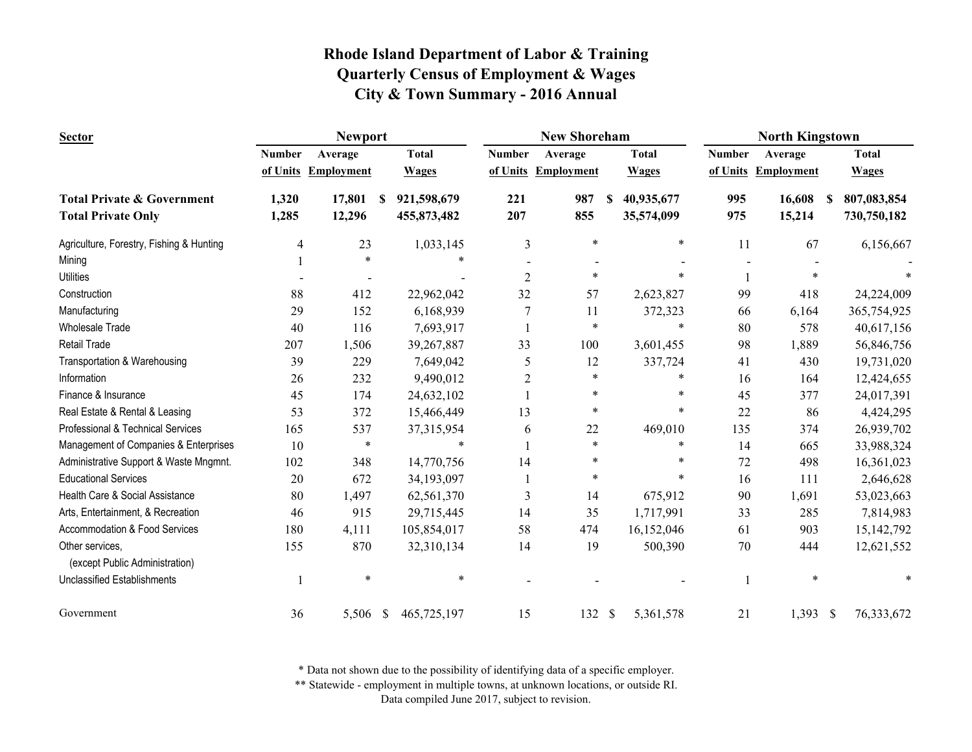| <b>Sector</b>                                     |                | <b>Newport</b>           |               |              |                | <b>New Shoreham</b> |               |              |               | <b>North Kingstown</b> |    |              |
|---------------------------------------------------|----------------|--------------------------|---------------|--------------|----------------|---------------------|---------------|--------------|---------------|------------------------|----|--------------|
|                                                   | <b>Number</b>  | Average                  |               | <b>Total</b> | <b>Number</b>  | Average             |               | <b>Total</b> | <b>Number</b> | Average                |    | <b>Total</b> |
|                                                   |                | of Units Employment      |               | <b>Wages</b> |                | of Units Employment |               | <b>Wages</b> | of Units      | <b>Employment</b>      |    | <b>Wages</b> |
| <b>Total Private &amp; Government</b>             | 1,320          | 17,801                   | <sup>S</sup>  | 921,598,679  | 221            | 987                 | S             | 40,935,677   | 995           | 16,608                 | S. | 807,083,854  |
| <b>Total Private Only</b>                         | 1,285          | 12,296                   |               | 455,873,482  | 207            | 855                 |               | 35,574,099   | 975           | 15,214                 |    | 730,750,182  |
| Agriculture, Forestry, Fishing & Hunting          | $\overline{4}$ | 23                       |               | 1,033,145    | 3              | $\ast$              |               | $\ast$       | 11            | 67                     |    | 6,156,667    |
| Mining                                            |                | $\ast$                   |               | $\ast$       |                |                     |               |              |               |                        |    |              |
| <b>Utilities</b>                                  |                | $\overline{\phantom{a}}$ |               |              | $\overline{2}$ | $\ast$              |               |              |               |                        |    |              |
| Construction                                      | 88             | 412                      |               | 22,962,042   | 32             | 57                  |               | 2,623,827    | 99            | 418                    |    | 24,224,009   |
| Manufacturing                                     | 29             | 152                      |               | 6,168,939    |                | 11                  |               | 372,323      | 66            | 6,164                  |    | 365,754,925  |
| <b>Wholesale Trade</b>                            | 40             | 116                      |               | 7,693,917    |                | $\ast$              |               | $\ast$       | 80            | 578                    |    | 40,617,156   |
| Retail Trade                                      | 207            | 1,506                    |               | 39,267,887   | 33             | 100                 |               | 3,601,455    | 98            | 1,889                  |    | 56,846,756   |
| Transportation & Warehousing                      | 39             | 229                      |               | 7,649,042    | 5              | 12                  |               | 337,724      | 41            | 430                    |    | 19,731,020   |
| Information                                       | 26             | 232                      |               | 9,490,012    | 2              | $\ast$              |               | *            | 16            | 164                    |    | 12,424,655   |
| Finance & Insurance                               | 45             | 174                      |               | 24,632,102   |                | *                   |               | *            | 45            | 377                    |    | 24,017,391   |
| Real Estate & Rental & Leasing                    | 53             | 372                      |               | 15,466,449   | 13             | *                   |               | *            | 22            | 86                     |    | 4,424,295    |
| Professional & Technical Services                 | 165            | 537                      |               | 37,315,954   | 6              | 22                  |               | 469,010      | 135           | 374                    |    | 26,939,702   |
| Management of Companies & Enterprises             | 10             | $\ast$                   |               | $\ast$       |                | $\ast$              |               | $\ast$       | 14            | 665                    |    | 33,988,324   |
| Administrative Support & Waste Mngmnt.            | 102            | 348                      |               | 14,770,756   | 14             | $\ast$              |               | *            | 72            | 498                    |    | 16,361,023   |
| <b>Educational Services</b>                       | 20             | 672                      |               | 34,193,097   |                | $\ast$              |               | $\ast$       | 16            | 111                    |    | 2,646,628    |
| Health Care & Social Assistance                   | 80             | 1,497                    |               | 62,561,370   | 3              | 14                  |               | 675,912      | 90            | 1,691                  |    | 53,023,663   |
| Arts, Entertainment, & Recreation                 | 46             | 915                      |               | 29,715,445   | 14             | 35                  |               | 1,717,991    | 33            | 285                    |    | 7,814,983    |
| Accommodation & Food Services                     | 180            | 4,111                    |               | 105,854,017  | 58             | 474                 |               | 16,152,046   | 61            | 903                    |    | 15, 142, 792 |
| Other services,<br>(except Public Administration) | 155            | 870                      |               | 32,310,134   | 14             | 19                  |               | 500,390      | 70            | 444                    |    | 12,621,552   |
| <b>Unclassified Establishments</b>                |                | $\ast$                   |               | $\ast$       |                |                     |               |              |               | $\ast$                 |    |              |
| Government                                        | 36             | 5,506                    | $\mathcal{S}$ | 465,725,197  | 15             | 132                 | $\mathcal{S}$ | 5,361,578    | 21            | $1,393$ \$             |    | 76, 333, 672 |

\* Data not shown due to the possibility of identifying data of a specific employer.

\*\* Statewide - employment in multiple towns, at unknown locations, or outside RI.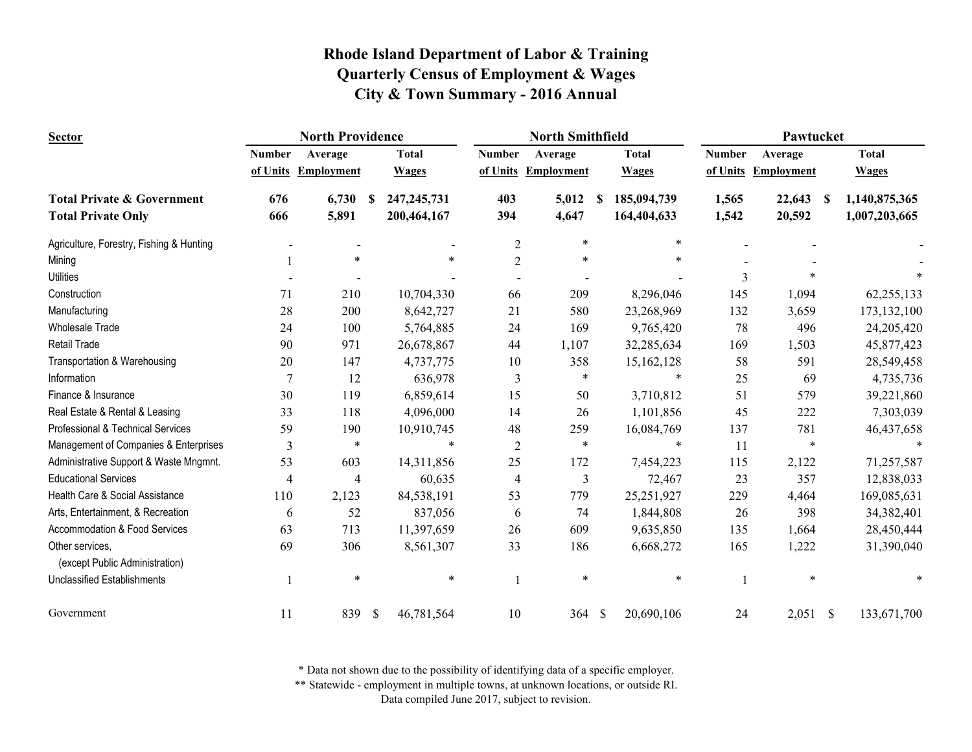| <b>Sector</b>                                     |                | <b>North Providence</b> |               |               |                | <b>North Smithfield</b> |   |              | Pawtucket     |                   |     |               |
|---------------------------------------------------|----------------|-------------------------|---------------|---------------|----------------|-------------------------|---|--------------|---------------|-------------------|-----|---------------|
|                                                   | <b>Number</b>  | Average                 |               | <b>Total</b>  | <b>Number</b>  | Average                 |   | <b>Total</b> | <b>Number</b> | Average           |     | <b>Total</b>  |
|                                                   | of Units       | <b>Employment</b>       |               | <b>Wages</b>  | of Units       | <b>Employment</b>       |   | <b>Wages</b> | of Units      | <b>Employment</b> |     | <b>Wages</b>  |
| <b>Total Private &amp; Government</b>             | 676            | 6,730                   | -S            | 247, 245, 731 | 403            | 5,012                   | S | 185,094,739  | 1,565         | 22,643            | -SS | 1,140,875,365 |
| <b>Total Private Only</b>                         | 666            | 5,891                   |               | 200,464,167   | 394            | 4,647                   |   | 164,404,633  | 1,542         | 20,592            |     | 1,007,203,665 |
| Agriculture, Forestry, Fishing & Hunting          |                |                         |               |               | $\mathfrak{2}$ | $\ast$                  |   | $\ast$       |               |                   |     |               |
| Mining                                            |                | $\ast$                  |               | $\ast$        | $\mathfrak{2}$ | $\ast$                  |   | $\ast$       |               |                   |     |               |
| <b>Utilities</b>                                  |                |                         |               |               |                |                         |   |              | 3             |                   |     |               |
| Construction                                      | 71             | 210                     |               | 10,704,330    | 66             | 209                     |   | 8,296,046    | 145           | 1,094             |     | 62,255,133    |
| Manufacturing                                     | 28             | 200                     |               | 8,642,727     | 21             | 580                     |   | 23,268,969   | 132           | 3,659             |     | 173, 132, 100 |
| <b>Wholesale Trade</b>                            | 24             | 100                     |               | 5,764,885     | 24             | 169                     |   | 9,765,420    | 78            | 496               |     | 24,205,420    |
| Retail Trade                                      | 90             | 971                     |               | 26,678,867    | 44             | 1,107                   |   | 32,285,634   | 169           | 1,503             |     | 45,877,423    |
| Transportation & Warehousing                      | 20             | 147                     |               | 4,737,775     | 10             | 358                     |   | 15,162,128   | 58            | 591               |     | 28,549,458    |
| Information                                       | $\overline{7}$ | 12                      |               | 636,978       | 3              | $\ast$                  |   | $\ast$       | 25            | 69                |     | 4,735,736     |
| Finance & Insurance                               | 30             | 119                     |               | 6,859,614     | 15             | 50                      |   | 3,710,812    | 51            | 579               |     | 39,221,860    |
| Real Estate & Rental & Leasing                    | 33             | 118                     |               | 4,096,000     | 14             | 26                      |   | 1,101,856    | 45            | 222               |     | 7,303,039     |
| Professional & Technical Services                 | 59             | 190                     |               | 10,910,745    | 48             | 259                     |   | 16,084,769   | 137           | 781               |     | 46,437,658    |
| Management of Companies & Enterprises             | 3              | $\ast$                  |               | $\ast$        | $\overline{2}$ | $\ast$                  |   | $\ast$       | 11            | $\ast$            |     |               |
| Administrative Support & Waste Mngmnt.            | 53             | 603                     |               | 14,311,856    | 25             | 172                     |   | 7,454,223    | 115           | 2,122             |     | 71,257,587    |
| <b>Educational Services</b>                       | $\overline{4}$ | $\overline{4}$          |               | 60,635        | $\overline{4}$ | 3                       |   | 72,467       | 23            | 357               |     | 12,838,033    |
| Health Care & Social Assistance                   | 110            | 2,123                   |               | 84,538,191    | 53             | 779                     |   | 25,251,927   | 229           | 4,464             |     | 169,085,631   |
| Arts, Entertainment, & Recreation                 | 6              | 52                      |               | 837,056       | 6              | 74                      |   | 1,844,808    | 26            | 398               |     | 34,382,401    |
| Accommodation & Food Services                     | 63             | 713                     |               | 11,397,659    | 26             | 609                     |   | 9,635,850    | 135           | 1,664             |     | 28,450,444    |
| Other services,<br>(except Public Administration) | 69             | 306                     |               | 8,561,307     | 33             | 186                     |   | 6,668,272    | 165           | 1,222             |     | 31,390,040    |
| <b>Unclassified Establishments</b>                |                | $\ast$                  |               | $\ast$        |                | $\ast$                  |   | $\ast$       |               | $\ast$            |     |               |
| Government                                        | 11             | 839                     | $\mathcal{S}$ | 46,781,564    | 10             | 364S                    |   | 20,690,106   | 24            | $2,051$ \$        |     | 133,671,700   |

\* Data not shown due to the possibility of identifying data of a specific employer.

\*\* Statewide - employment in multiple towns, at unknown locations, or outside RI.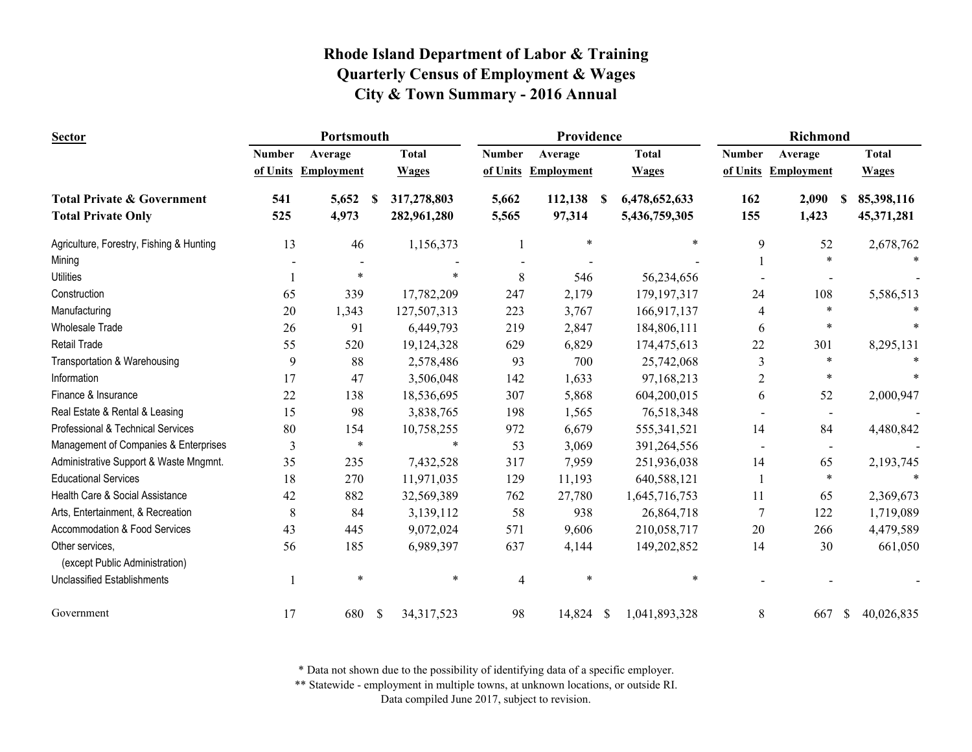| <b>Sector</b>                                     |               | Portsmouth          |    |              |               | Providence          |    |               |                | Richmond            |               |              |
|---------------------------------------------------|---------------|---------------------|----|--------------|---------------|---------------------|----|---------------|----------------|---------------------|---------------|--------------|
|                                                   | <b>Number</b> | Average             |    | <b>Total</b> | <b>Number</b> | Average             |    | <b>Total</b>  | <b>Number</b>  | Average             |               | <b>Total</b> |
|                                                   |               | of Units Employment |    | <b>Wages</b> |               | of Units Employment |    | <b>Wages</b>  |                | of Units Employment |               | <b>Wages</b> |
| <b>Total Private &amp; Government</b>             | 541           | 5,652               | -S | 317,278,803  | 5,662         | 112,138             | -S | 6,478,652,633 | 162            | 2,090               | -S            | 85,398,116   |
| <b>Total Private Only</b>                         | 525           | 4,973               |    | 282,961,280  | 5,565         | 97,314              |    | 5,436,759,305 | 155            | 1,423               |               | 45,371,281   |
| Agriculture, Forestry, Fishing & Hunting          | 13            | 46                  |    | 1,156,373    |               | $\ast$              |    | $\ast$        | 9              | 52                  |               | 2,678,762    |
| Mining                                            |               |                     |    |              |               |                     |    |               |                | $\ast$              |               |              |
| <b>Utilities</b>                                  |               | $\ast$              |    |              | 8             | 546                 |    | 56,234,656    |                |                     |               |              |
| Construction                                      | 65            | 339                 |    | 17,782,209   | 247           | 2,179               |    | 179, 197, 317 | 24             | 108                 |               | 5,586,513    |
| Manufacturing                                     | 20            | 1,343               |    | 127,507,313  | 223           | 3,767               |    | 166,917,137   | 4              | $\ast$              |               |              |
| <b>Wholesale Trade</b>                            | 26            | 91                  |    | 6,449,793    | 219           | 2,847               |    | 184,806,111   | 6              | $\ast$              |               |              |
| <b>Retail Trade</b>                               | 55            | 520                 |    | 19,124,328   | 629           | 6,829               |    | 174,475,613   | 22             | 301                 |               | 8,295,131    |
| Transportation & Warehousing                      | 9             | 88                  |    | 2,578,486    | 93            | 700                 |    | 25,742,068    | 3              | ∗                   |               |              |
| Information                                       | 17            | 47                  |    | 3,506,048    | 142           | 1,633               |    | 97,168,213    | $\overline{2}$ | $\ast$              |               |              |
| Finance & Insurance                               | 22            | 138                 |    | 18,536,695   | 307           | 5,868               |    | 604,200,015   | 6              | 52                  |               | 2,000,947    |
| Real Estate & Rental & Leasing                    | 15            | 98                  |    | 3,838,765    | 198           | 1,565               |    | 76,518,348    |                |                     |               |              |
| Professional & Technical Services                 | 80            | 154                 |    | 10,758,255   | 972           | 6,679               |    | 555,341,521   | 14             | 84                  |               | 4,480,842    |
| Management of Companies & Enterprises             | 3             | $\ast$              |    | $\ast$       | 53            | 3,069               |    | 391,264,556   |                | $\,$ $\,$           |               |              |
| Administrative Support & Waste Mngmnt.            | 35            | 235                 |    | 7,432,528    | 317           | 7,959               |    | 251,936,038   | 14             | 65                  |               | 2,193,745    |
| <b>Educational Services</b>                       | 18            | 270                 |    | 11,971,035   | 129           | 11,193              |    | 640,588,121   |                | $\ast$              |               |              |
| Health Care & Social Assistance                   | 42            | 882                 |    | 32,569,389   | 762           | 27,780              |    | 1,645,716,753 | 11             | 65                  |               | 2,369,673    |
| Arts, Entertainment, & Recreation                 | 8             | 84                  |    | 3,139,112    | 58            | 938                 |    | 26,864,718    | 7              | 122                 |               | 1,719,089    |
| Accommodation & Food Services                     | 43            | 445                 |    | 9,072,024    | 571           | 9,606               |    | 210,058,717   | 20             | 266                 |               | 4,479,589    |
| Other services,<br>(except Public Administration) | 56            | 185                 |    | 6,989,397    | 637           | 4,144               |    | 149,202,852   | 14             | 30                  |               | 661,050      |
| <b>Unclassified Establishments</b>                |               | $\ast$              |    |              | 4             | $\ast$              |    | $\ast$        |                |                     |               |              |
| Government                                        | 17            | 680                 | \$ | 34, 317, 523 | 98            | 14,824 \$           |    | 1,041,893,328 | 8              | 667                 | <sup>\$</sup> | 40,026,835   |

\* Data not shown due to the possibility of identifying data of a specific employer.

\*\* Statewide - employment in multiple towns, at unknown locations, or outside RI.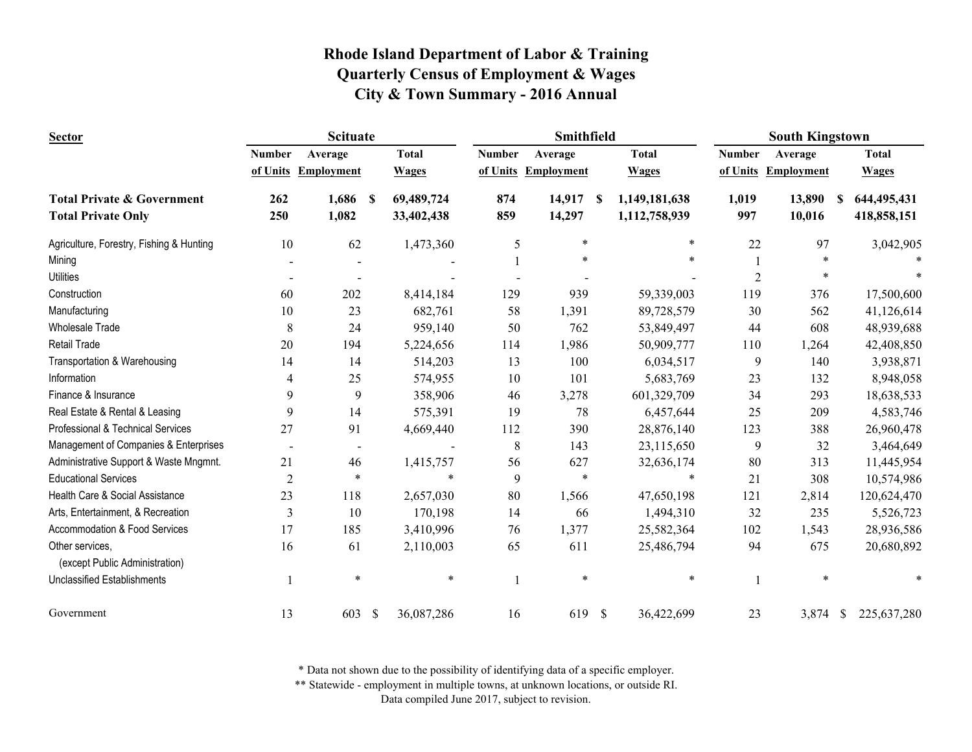| <b>Sector</b>                                     |                | <b>Scituate</b>   |    |              |               | Smithfield          |              |               |               | <b>South Kingstown</b> |               |              |
|---------------------------------------------------|----------------|-------------------|----|--------------|---------------|---------------------|--------------|---------------|---------------|------------------------|---------------|--------------|
|                                                   | <b>Number</b>  | Average           |    | <b>Total</b> | <b>Number</b> | Average             |              | <b>Total</b>  | <b>Number</b> | Average                |               | <b>Total</b> |
|                                                   | of Units       | <b>Employment</b> |    | <b>Wages</b> |               | of Units Employment |              | <b>Wages</b>  |               | of Units Employment    |               | <b>Wages</b> |
| <b>Total Private &amp; Government</b>             | 262            | 1,686             | -S | 69,489,724   | 874           | 14,917              | S            | 1,149,181,638 | 1,019         | 13,890                 | S             | 644,495,431  |
| <b>Total Private Only</b>                         | 250            | 1,082             |    | 33,402,438   | 859           | 14,297              |              | 1,112,758,939 | 997           | 10,016                 |               | 418,858,151  |
| Agriculture, Forestry, Fishing & Hunting          | 10             | 62                |    | 1,473,360    | 5             | $\ast$              |              | $\ast$        | 22            | 97                     |               | 3,042,905    |
| Mining                                            |                |                   |    |              |               | $\ast$              |              |               |               | $\ast$                 |               |              |
| <b>Utilities</b>                                  |                |                   |    |              |               |                     |              |               | 2             | $\ast$                 |               |              |
| Construction                                      | 60             | 202               |    | 8,414,184    | 129           | 939                 |              | 59,339,003    | 119           | 376                    |               | 17,500,600   |
| Manufacturing                                     | 10             | 23                |    | 682,761      | 58            | 1,391               |              | 89,728,579    | 30            | 562                    |               | 41,126,614   |
| <b>Wholesale Trade</b>                            | $\,8\,$        | 24                |    | 959,140      | 50            | 762                 |              | 53,849,497    | 44            | 608                    |               | 48,939,688   |
| <b>Retail Trade</b>                               | 20             | 194               |    | 5,224,656    | 114           | 1,986               |              | 50,909,777    | 110           | 1,264                  |               | 42,408,850   |
| Transportation & Warehousing                      | 14             | 14                |    | 514,203      | 13            | 100                 |              | 6,034,517     | 9             | 140                    |               | 3,938,871    |
| Information                                       | 4              | 25                |    | 574,955      | 10            | 101                 |              | 5,683,769     | 23            | 132                    |               | 8,948,058    |
| Finance & Insurance                               | 9              | 9                 |    | 358,906      | 46            | 3,278               |              | 601,329,709   | 34            | 293                    |               | 18,638,533   |
| Real Estate & Rental & Leasing                    | 9              | 14                |    | 575,391      | 19            | 78                  |              | 6,457,644     | 25            | 209                    |               | 4,583,746    |
| Professional & Technical Services                 | 27             | 91                |    | 4,669,440    | 112           | 390                 |              | 28,876,140    | 123           | 388                    |               | 26,960,478   |
| Management of Companies & Enterprises             |                |                   |    |              | 8             | 143                 |              | 23,115,650    | 9             | 32                     |               | 3,464,649    |
| Administrative Support & Waste Mngmnt.            | 21             | 46                |    | 1,415,757    | 56            | 627                 |              | 32,636,174    | 80            | 313                    |               | 11,445,954   |
| <b>Educational Services</b>                       | $\overline{2}$ | $\ast$            |    | $\ast$       | 9             | $\ast$              |              | $\ast$        | 21            | 308                    |               | 10,574,986   |
| Health Care & Social Assistance                   | 23             | 118               |    | 2,657,030    | 80            | 1,566               |              | 47,650,198    | 121           | 2,814                  |               | 120,624,470  |
| Arts, Entertainment, & Recreation                 | $\mathfrak{Z}$ | 10                |    | 170,198      | 14            | 66                  |              | 1,494,310     | 32            | 235                    |               | 5,526,723    |
| Accommodation & Food Services                     | 17             | 185               |    | 3,410,996    | 76            | 1,377               |              | 25,582,364    | 102           | 1,543                  |               | 28,936,586   |
| Other services,<br>(except Public Administration) | 16             | 61                |    | 2,110,003    | 65            | 611                 |              | 25,486,794    | 94            | 675                    |               | 20,680,892   |
| <b>Unclassified Establishments</b>                |                | $\ast$            |    | $\ast$       |               | $\ast$              |              | $\ast$        |               | $\ast$                 |               |              |
| Government                                        | 13             | 603               | -S | 36,087,286   | 16            | 619                 | $\mathbb{S}$ | 36,422,699    | 23            | 3,874                  | <sup>\$</sup> | 225,637,280  |

\* Data not shown due to the possibility of identifying data of a specific employer.

\*\* Statewide - employment in multiple towns, at unknown locations, or outside RI.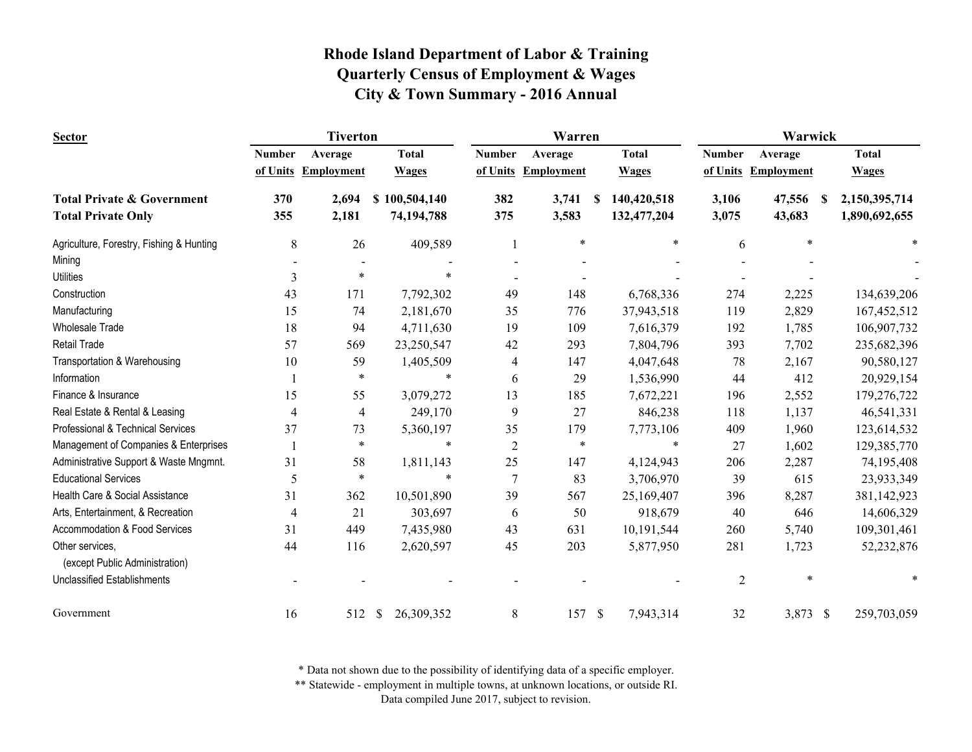| <b>Sector</b>                                     |                | <b>Tiverton</b>     |                             |                | Warren              |                   |                | Warwick             |                    |
|---------------------------------------------------|----------------|---------------------|-----------------------------|----------------|---------------------|-------------------|----------------|---------------------|--------------------|
|                                                   | <b>Number</b>  | Average             | <b>Total</b>                | <b>Number</b>  | Average             | <b>Total</b>      | <b>Number</b>  | Average             | <b>Total</b>       |
|                                                   |                | of Units Employment | <b>Wages</b>                |                | of Units Employment | <b>Wages</b>      |                | of Units Employment | <b>Wages</b>       |
| <b>Total Private &amp; Government</b>             | 370            | 2,694               | \$100,504,140               | 382            | 3,741               | 140,420,518<br>-S | 3,106          | 47,556              | 2,150,395,714<br>S |
| <b>Total Private Only</b>                         | 355            | 2,181               | 74,194,788                  | 375            | 3,583               | 132,477,204       | 3,075          | 43,683              | 1,890,692,655      |
| Agriculture, Forestry, Fishing & Hunting          | 8              | 26                  | 409,589                     |                | $\ast$              | $\ast$            | 6              | $\ast$              |                    |
| Mining                                            |                |                     |                             |                |                     |                   |                |                     |                    |
| <b>Utilities</b>                                  | 3              | $\ast$              |                             |                |                     |                   |                |                     |                    |
| Construction                                      | 43             | 171                 | 7,792,302                   | 49             | 148                 | 6,768,336         | 274            | 2,225               | 134,639,206        |
| Manufacturing                                     | 15             | 74                  | 2,181,670                   | 35             | 776                 | 37,943,518        | 119            | 2,829               | 167,452,512        |
| <b>Wholesale Trade</b>                            | 18             | 94                  | 4,711,630                   | 19             | 109                 | 7,616,379         | 192            | 1,785               | 106,907,732        |
| <b>Retail Trade</b>                               | 57             | 569                 | 23,250,547                  | 42             | 293                 | 7,804,796         | 393            | 7,702               | 235,682,396        |
| Transportation & Warehousing                      | 10             | 59                  | 1,405,509                   | $\overline{4}$ | 147                 | 4,047,648         | 78             | 2,167               | 90,580,127         |
| Information                                       |                | $\ast$              | $\ast$                      | 6              | 29                  | 1,536,990         | 44             | 412                 | 20,929,154         |
| Finance & Insurance                               | 15             | 55                  | 3,079,272                   | 13             | 185                 | 7,672,221         | 196            | 2,552               | 179,276,722        |
| Real Estate & Rental & Leasing                    | $\overline{4}$ | 4                   | 249,170                     | 9              | 27                  | 846,238           | 118            | 1,137               | 46,541,331         |
| Professional & Technical Services                 | 37             | 73                  | 5,360,197                   | 35             | 179                 | 7,773,106         | 409            | 1,960               | 123,614,532        |
| Management of Companies & Enterprises             |                | $\ast$              | $\ast$                      | $\overline{2}$ | $\ast$              | $\ast$            | 27             | 1,602               | 129,385,770        |
| Administrative Support & Waste Mngmnt.            | 31             | 58                  | 1,811,143                   | 25             | 147                 | 4,124,943         | 206            | 2,287               | 74,195,408         |
| <b>Educational Services</b>                       | 5              | $\ast$              | $\ast$                      | $\overline{7}$ | 83                  | 3,706,970         | 39             | 615                 | 23,933,349         |
| Health Care & Social Assistance                   | 31             | 362                 | 10,501,890                  | 39             | 567                 | 25,169,407        | 396            | 8,287               | 381,142,923        |
| Arts, Entertainment, & Recreation                 | $\overline{4}$ | 21                  | 303,697                     | 6              | 50                  | 918,679           | 40             | 646                 | 14,606,329         |
| Accommodation & Food Services                     | 31             | 449                 | 7,435,980                   | 43             | 631                 | 10,191,544        | 260            | 5,740               | 109,301,461        |
| Other services,<br>(except Public Administration) | 44             | 116                 | 2,620,597                   | 45             | 203                 | 5,877,950         | 281            | 1,723               | 52,232,876         |
| <b>Unclassified Establishments</b>                |                |                     |                             |                |                     |                   | $\mathfrak{2}$ | $\ast$              |                    |
| Government                                        | 16             | 512                 | 26,309,352<br><sup>\$</sup> | 8              | 157S                | 7,943,314         | 32             | 3,873 \$            | 259,703,059        |

\* Data not shown due to the possibility of identifying data of a specific employer.

\*\* Statewide - employment in multiple towns, at unknown locations, or outside RI.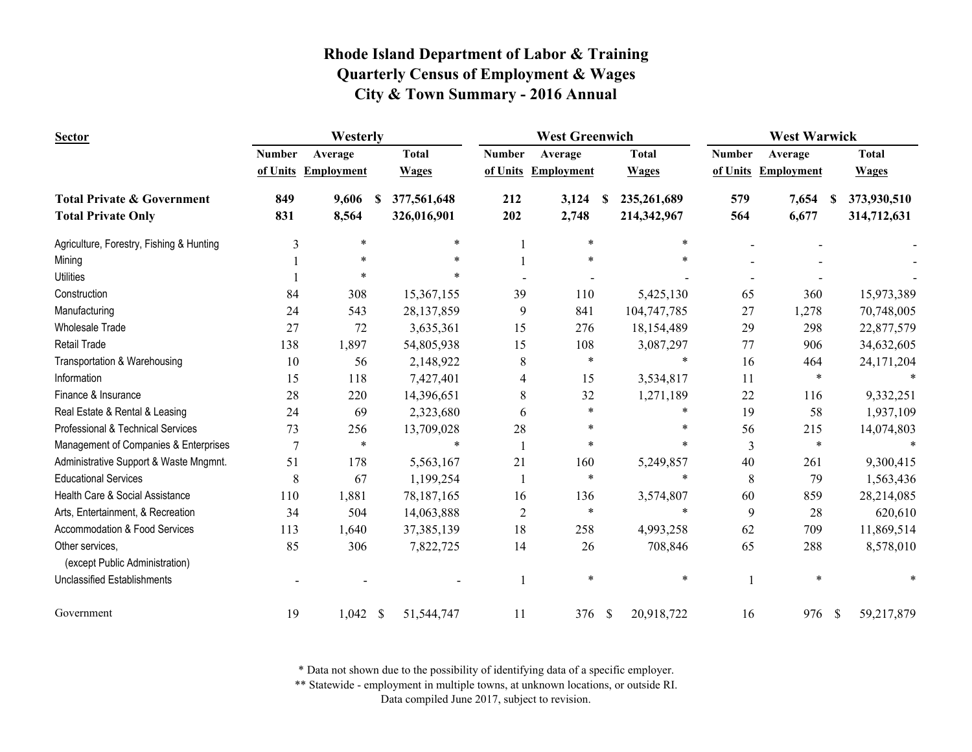| Sector                                            | Westerly      |                     |              |              |                | <b>West Greenwich</b> |          |              | <b>West Warwick</b> |                     |                             |  |
|---------------------------------------------------|---------------|---------------------|--------------|--------------|----------------|-----------------------|----------|--------------|---------------------|---------------------|-----------------------------|--|
|                                                   | <b>Number</b> | Average             |              | <b>Total</b> | <b>Number</b>  | Average               |          | <b>Total</b> | <b>Number</b>       | Average             | <b>Total</b>                |  |
|                                                   |               | of Units Employment |              | <b>Wages</b> | of Units       | <b>Employment</b>     |          | <b>Wages</b> |                     | of Units Employment | <b>Wages</b>                |  |
| <b>Total Private &amp; Government</b>             | 849           | 9,606               |              | 377,561,648  | 212            | 3,124                 | <b>S</b> | 235,261,689  | 579                 | 7,654<br>S          | 373,930,510                 |  |
| <b>Total Private Only</b>                         | 831           | 8,564               |              | 326,016,901  | 202            | 2,748                 |          | 214,342,967  | 564                 | 6,677               | 314,712,631                 |  |
| Agriculture, Forestry, Fishing & Hunting          | 3             | $\ast$              |              | $\ast$       |                | $\ast$                |          | ∗            |                     |                     |                             |  |
| Mining                                            |               |                     |              |              |                |                       |          |              |                     |                     |                             |  |
| <b>Utilities</b>                                  |               |                     |              |              |                |                       |          |              |                     |                     |                             |  |
| Construction                                      | 84            | 308                 |              | 15,367,155   | 39             | 110                   |          | 5,425,130    | 65                  | 360                 | 15,973,389                  |  |
| Manufacturing                                     | 24            | 543                 |              | 28,137,859   | 9              | 841                   |          | 104,747,785  | 27                  | 1,278               | 70,748,005                  |  |
| <b>Wholesale Trade</b>                            | 27            | 72                  |              | 3,635,361    | 15             | 276                   |          | 18,154,489   | 29                  | 298                 | 22,877,579                  |  |
| Retail Trade                                      | 138           | 1,897               |              | 54,805,938   | 15             | 108                   |          | 3,087,297    | 77                  | 906                 | 34,632,605                  |  |
| Transportation & Warehousing                      | 10            | 56                  |              | 2,148,922    | 8              | $\ast$                |          | $\ast$       | 16                  | 464                 | 24, 171, 204                |  |
| Information                                       | 15            | 118                 |              | 7,427,401    | 4              | 15                    |          | 3,534,817    | 11                  | $\ast$              |                             |  |
| Finance & Insurance                               | 28            | 220                 |              | 14,396,651   | $\,8\,$        | 32                    |          | 1,271,189    | 22                  | 116                 | 9,332,251                   |  |
| Real Estate & Rental & Leasing                    | 24            | 69                  |              | 2,323,680    | 6              | $\ast$                |          | $\ast$       | 19                  | 58                  | 1,937,109                   |  |
| Professional & Technical Services                 | 73            | 256                 |              | 13,709,028   | 28             |                       |          |              | 56                  | 215                 | 14,074,803                  |  |
| Management of Companies & Enterprises             | 7             | $\ast$              |              | $\ast$       |                | ∗                     |          | *            | 3                   | $\ast$              |                             |  |
| Administrative Support & Waste Mngmnt.            | 51            | 178                 |              | 5,563,167    | 21             | 160                   |          | 5,249,857    | 40                  | 261                 | 9,300,415                   |  |
| <b>Educational Services</b>                       | 8             | 67                  |              | 1,199,254    |                | $\ast$                |          | $\ast$       | 8                   | 79                  | 1,563,436                   |  |
| Health Care & Social Assistance                   | 110           | 1,881               |              | 78,187,165   | 16             | 136                   |          | 3,574,807    | 60                  | 859                 | 28,214,085                  |  |
| Arts, Entertainment, & Recreation                 | 34            | 504                 |              | 14,063,888   | $\overline{2}$ | $\ast$                |          | $\ast$       | 9                   | 28                  | 620,610                     |  |
| Accommodation & Food Services                     | 113           | 1,640               |              | 37, 385, 139 | 18             | 258                   |          | 4,993,258    | 62                  | 709                 | 11,869,514                  |  |
| Other services,<br>(except Public Administration) | 85            | 306                 |              | 7,822,725    | 14             | 26                    |          | 708,846      | 65                  | 288                 | 8,578,010                   |  |
| <b>Unclassified Establishments</b>                |               |                     |              |              |                | $\ast$                |          | $\ast$       |                     | $\ast$              |                             |  |
| Government                                        | 19            | 1,042               | $\mathbb{S}$ | 51,544,747   | 11             | 376 \$                |          | 20,918,722   | 16                  | 976                 | $\mathcal{S}$<br>59,217,879 |  |

\* Data not shown due to the possibility of identifying data of a specific employer.

\*\* Statewide - employment in multiple towns, at unknown locations, or outside RI.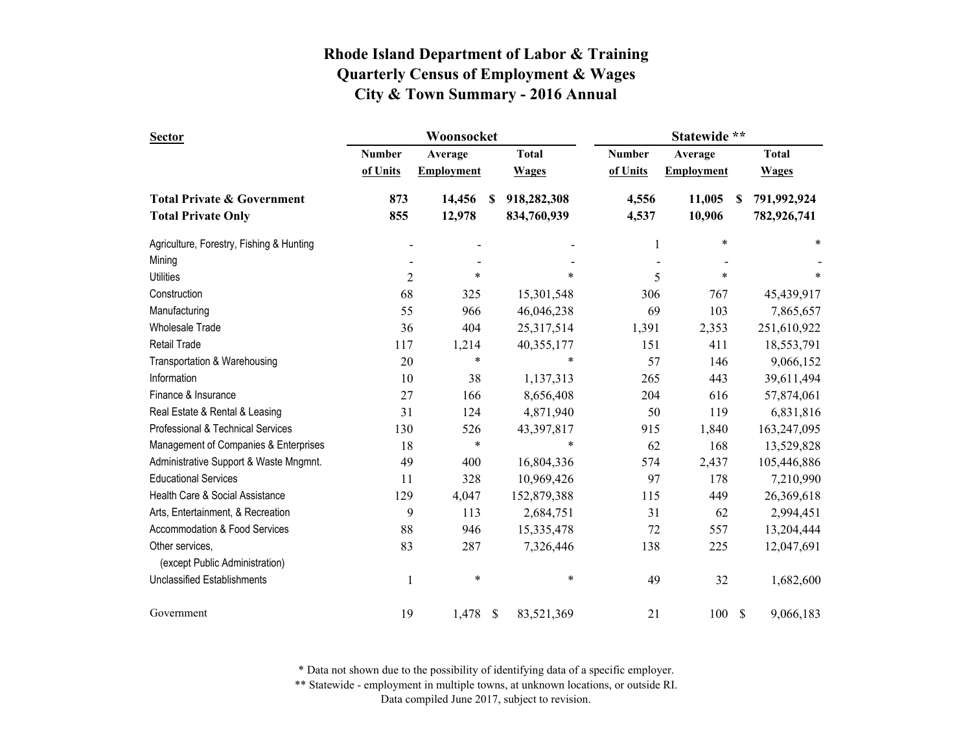| <b>Sector</b>                            |                | Woonsocket        |    |              | Statewide **  |                   |      |              |
|------------------------------------------|----------------|-------------------|----|--------------|---------------|-------------------|------|--------------|
|                                          | <b>Number</b>  | Average           |    | <b>Total</b> | <b>Number</b> | Average           |      | <b>Total</b> |
|                                          | of Units       | <b>Employment</b> |    | <b>Wages</b> | of Units      | <b>Employment</b> |      | <b>Wages</b> |
| <b>Total Private &amp; Government</b>    | 873            | 14,456            | S  | 918,282,308  | 4,556         | 11,005            | -S   | 791,992,924  |
| <b>Total Private Only</b>                | 855            | 12,978            |    | 834,760,939  | 4,537         | 10,906            |      | 782,926,741  |
| Agriculture, Forestry, Fishing & Hunting |                |                   |    |              | 1             | $\ast$            |      | ∗            |
| Mining                                   |                |                   |    |              |               |                   |      |              |
| <b>Utilities</b>                         | $\overline{2}$ | $\ast$            |    | $\ast$       | 5             | $\ast$            |      | *            |
| Construction                             | 68             | 325               |    | 15,301,548   | 306           | 767               |      | 45,439,917   |
| Manufacturing                            | 55             | 966               |    | 46,046,238   | 69            | 103               |      | 7,865,657    |
| <b>Wholesale Trade</b>                   | 36             | 404               |    | 25,317,514   | 1,391         | 2,353             |      | 251,610,922  |
| Retail Trade                             | 117            | 1,214             |    | 40,355,177   | 151           | 411               |      | 18,553,791   |
| Transportation & Warehousing             | 20             | $\ast$            |    | *            | 57            | 146               |      | 9,066,152    |
| Information                              | 10             | 38                |    | 1,137,313    | 265           | 443               |      | 39,611,494   |
| Finance & Insurance                      | 27             | 166               |    | 8,656,408    | 204           | 616               |      | 57,874,061   |
| Real Estate & Rental & Leasing           | 31             | 124               |    | 4,871,940    | 50            | 119               |      | 6,831,816    |
| Professional & Technical Services        | 130            | 526               |    | 43,397,817   | 915           | 1,840             |      | 163,247,095  |
| Management of Companies & Enterprises    | 18             | $\ast$            |    | $\ast$       | 62            | 168               |      | 13,529,828   |
| Administrative Support & Waste Mngmnt.   | 49             | 400               |    | 16,804,336   | 574           | 2,437             |      | 105,446,886  |
| <b>Educational Services</b>              | 11             | 328               |    | 10,969,426   | 97            | 178               |      | 7,210,990    |
| Health Care & Social Assistance          | 129            | 4,047             |    | 152,879,388  | 115           | 449               |      | 26,369,618   |
| Arts, Entertainment, & Recreation        | 9              | 113               |    | 2,684,751    | 31            | 62                |      | 2,994,451    |
| Accommodation & Food Services            | 88             | 946               |    | 15,335,478   | 72            | 557               |      | 13,204,444   |
| Other services,                          | 83             | 287               |    | 7,326,446    | 138           | 225               |      | 12,047,691   |
| (except Public Administration)           |                |                   |    |              |               |                   |      |              |
| <b>Unclassified Establishments</b>       |                | $\ast$            |    | $\ast$       | 49            | 32                |      | 1,682,600    |
| Government                               | 19             | 1,478             | \$ | 83,521,369   | 21            | 100               | - \$ | 9,066,183    |

\* Data not shown due to the possibility of identifying data of a specific employer.

\*\* Statewide - employment in multiple towns, at unknown locations, or outside RI.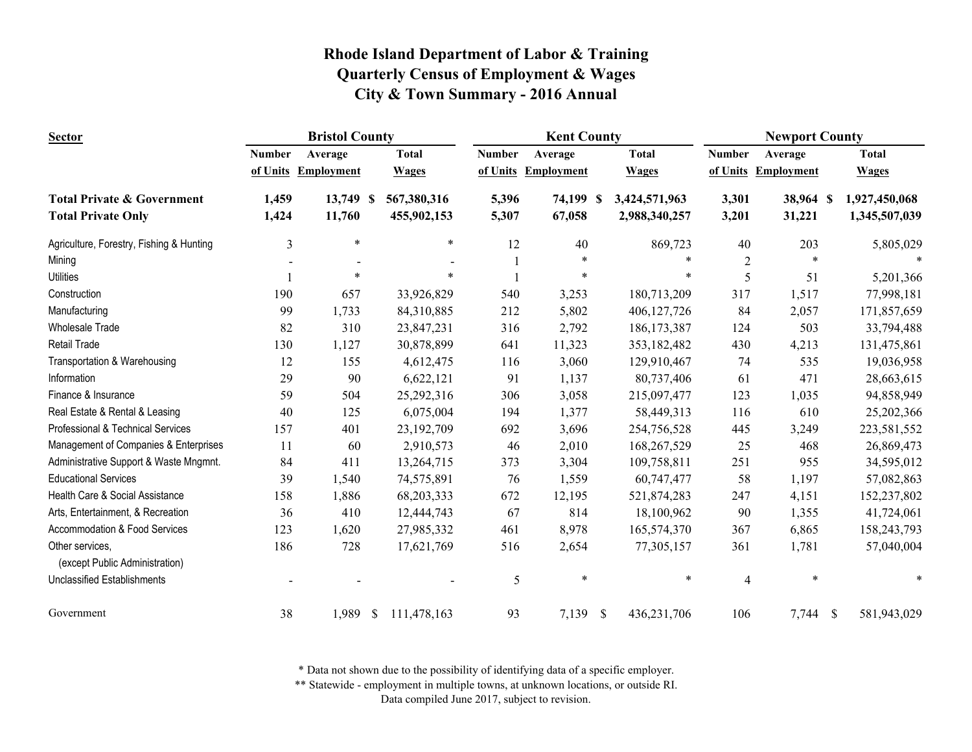| <b>Sector</b>                                     |                | <b>Bristol County</b> |                             |               | <b>Kent County</b> |               |               | <b>Newport County</b> |                   |  |               |
|---------------------------------------------------|----------------|-----------------------|-----------------------------|---------------|--------------------|---------------|---------------|-----------------------|-------------------|--|---------------|
|                                                   | <b>Number</b>  | Average               | <b>Total</b>                | <b>Number</b> | Average            |               | <b>Total</b>  | <b>Number</b>         | Average           |  | <b>Total</b>  |
|                                                   | of Units       | <b>Employment</b>     | <b>Wages</b>                | of Units      | <b>Employment</b>  |               | <b>Wages</b>  | of Units              | <b>Employment</b> |  | <b>Wages</b>  |
| <b>Total Private &amp; Government</b>             | 1,459          | 13,749 \$             | 567,380,316                 | 5,396         | 74,199 \$          |               | 3,424,571,963 | 3,301                 | 38,964 \$         |  | 1,927,450,068 |
| <b>Total Private Only</b>                         | 1,424          | 11,760                | 455,902,153                 | 5,307         | 67,058             |               | 2,988,340,257 | 3,201                 | 31,221            |  | 1,345,507,039 |
| Agriculture, Forestry, Fishing & Hunting          | $\overline{3}$ | $\ast$                |                             | $\ast$<br>12  | 40                 |               | 869,723       | 40                    | 203               |  | 5,805,029     |
| Mining                                            |                |                       |                             |               | $\ast$             |               | $\ast$        | $\overline{2}$        | $\ast$            |  |               |
| <b>Utilities</b>                                  |                | ∗                     |                             |               | $\ast$             |               | *             | 5                     | 51                |  | 5,201,366     |
| Construction                                      | 190            | 657                   | 33,926,829                  | 540           | 3,253              |               | 180,713,209   | 317                   | 1,517             |  | 77,998,181    |
| Manufacturing                                     | 99             | 1,733                 | 84,310,885                  | 212           | 5,802              |               | 406,127,726   | 84                    | 2,057             |  | 171,857,659   |
| <b>Wholesale Trade</b>                            | 82             | 310                   | 23,847,231                  | 316           | 2,792              |               | 186, 173, 387 | 124                   | 503               |  | 33,794,488    |
| <b>Retail Trade</b>                               | 130            | 1,127                 | 30,878,899                  | 641           | 11,323             |               | 353, 182, 482 | 430                   | 4,213             |  | 131,475,861   |
| Transportation & Warehousing                      | 12             | 155                   | 4,612,475                   | 116           | 3,060              |               | 129,910,467   | 74                    | 535               |  | 19,036,958    |
| Information                                       | 29             | 90                    | 6,622,121                   | 91            | 1,137              |               | 80,737,406    | 61                    | 471               |  | 28,663,615    |
| Finance & Insurance                               | 59             | 504                   | 25,292,316                  | 306           | 3,058              |               | 215,097,477   | 123                   | 1,035             |  | 94,858,949    |
| Real Estate & Rental & Leasing                    | 40             | 125                   | 6,075,004                   | 194           | 1,377              |               | 58,449,313    | 116                   | 610               |  | 25,202,366    |
| Professional & Technical Services                 | 157            | 401                   | 23,192,709                  | 692           | 3,696              |               | 254,756,528   | 445                   | 3,249             |  | 223,581,552   |
| Management of Companies & Enterprises             | 11             | 60                    | 2,910,573                   | 46            | 2,010              |               | 168,267,529   | 25                    | 468               |  | 26,869,473    |
| Administrative Support & Waste Mngmnt.            | 84             | 411                   | 13,264,715                  | 373           | 3,304              |               | 109,758,811   | 251                   | 955               |  | 34,595,012    |
| <b>Educational Services</b>                       | 39             | 1,540                 | 74,575,891                  | 76            | 1,559              |               | 60,747,477    | 58                    | 1,197             |  | 57,082,863    |
| Health Care & Social Assistance                   | 158            | 1,886                 | 68,203,333                  | 672           | 12,195             |               | 521,874,283   | 247                   | 4,151             |  | 152,237,802   |
| Arts, Entertainment, & Recreation                 | 36             | 410                   | 12,444,743                  | 67            | 814                |               | 18,100,962    | 90                    | 1,355             |  | 41,724,061    |
| Accommodation & Food Services                     | 123            | 1,620                 | 27,985,332                  | 461           | 8,978              |               | 165,574,370   | 367                   | 6,865             |  | 158,243,793   |
| Other services,<br>(except Public Administration) | 186            | 728                   | 17,621,769                  | 516           | 2,654              |               | 77,305,157    | 361                   | 1,781             |  | 57,040,004    |
| <b>Unclassified Establishments</b>                |                |                       |                             | 5             | $\ast$             |               | $\ast$        | $\overline{4}$        | $\ast$            |  |               |
| Government                                        | 38             | 1,989                 | $\mathbb{S}$<br>111,478,163 | 93            | 7,139              | $\mathcal{S}$ | 436,231,706   | 106                   | $7,744$ \$        |  | 581,943,029   |

\* Data not shown due to the possibility of identifying data of a specific employer.

\*\* Statewide - employment in multiple towns, at unknown locations, or outside RI.